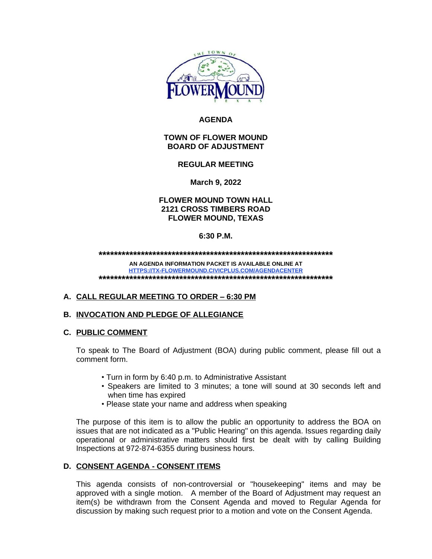

# **AGENDA**

# **TOWN OF FLOWER MOUND BOARD OF ADJUSTMENT**

## **REGULAR MEETING**

**March 9, 2022**

# **FLOWER MOUND TOWN HALL 2121 CROSS TIMBERS ROAD FLOWER MOUND, TEXAS**

## **6:30 P.M.**

**\*\*\*\*\*\*\*\*\*\*\*\*\*\*\*\*\*\*\*\*\*\*\*\*\*\*\*\*\*\*\*\*\*\*\*\*\*\*\*\*\*\*\*\*\*\*\*\*\*\*\*\*\*\*\*\*\*\*\*\*\***

**AN AGENDA INFORMATION PACKET IS AVAILABLE ONLINE AT <HTTPS://TX-FLOWERMOUND.CIVICPLUS.COM/AGENDACENTER> \*\*\*\*\*\*\*\*\*\*\*\*\*\*\*\*\*\*\*\*\*\*\*\*\*\*\*\*\*\*\*\*\*\*\*\*\*\*\*\*\*\*\*\*\*\*\*\*\*\*\*\*\*\*\*\*\*\*\*\*\***

# **A. CALL REGULAR MEETING TO ORDER – 6:30 PM**

#### **B. INVOCATION AND PLEDGE OF ALLEGIANCE**

#### **C. PUBLIC COMMENT**

To speak to The Board of Adjustment (BOA) during public comment, please fill out a comment form.

- Turn in form by 6:40 p.m. to Administrative Assistant
- Speakers are limited to 3 minutes; a tone will sound at 30 seconds left and when time has expired
- Please state your name and address when speaking

The purpose of this item is to allow the public an opportunity to address the BOA on issues that are not indicated as a "Public Hearing" on this agenda. Issues regarding daily operational or administrative matters should first be dealt with by calling Building Inspections at 972-874-6355 during business hours.

# **D. CONSENT AGENDA - CONSENT ITEMS**

This agenda consists of non-controversial or "housekeeping" items and may be approved with a single motion. A member of the Board of Adjustment may request an item(s) be withdrawn from the Consent Agenda and moved to Regular Agenda for discussion by making such request prior to a motion and vote on the Consent Agenda.